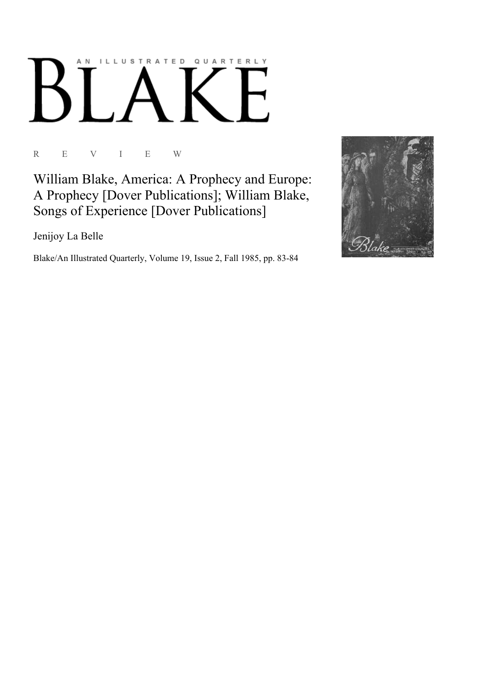## ILLUSTRATED QUARTERLY A N

R E V I E W

William Blake, America: A Prophecy and Europe: A Prophecy [Dover Publications]; William Blake, Songs of Experience [Dover Publications]

Jenijoy La Belle

Blake/An Illustrated Quarterly, Volume 19, Issue 2, Fall 1985, pp. 83-84

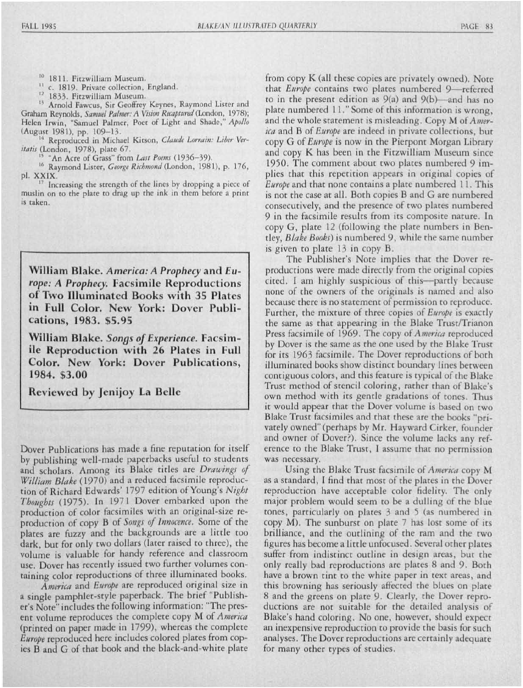- <sup>10</sup> 1811. Fitzwilliam Museum.
- <sup>11</sup> c. 1819. Private collection, England.
- <sup>12</sup> 1833. Fitzwilliam Museum.

<sup>13</sup> Arnold Fawcus, Sir Geoffrey Keynes, Raymond Lister and Graham Reynolds, *Samuel Palmer: A Vision Recaptured* (London, 1978); Helen Irwin, "Samuel Palmer, Poet of Light and Shade," *Apollo*  (August 1981), pp. 109-13.

<sup>14</sup> Reproduced in Michael Kitson, *Claude Lorrain: Liber Veri/atis* (London, 1978), plate 67.

<sup>15</sup>"An Acre of Grass" from *Last Poems 1936-39).* 

<sup>16</sup> Raymond Lister, *George Richmond* (London, 1981), p. 176, pi. XXIX.

Increasing the strength of the lines by dropping a piece of muslin on to the plate to drag up the ink in them before a print is taken.

William Blake. America: A Prophecy and Eu*rope: A Prophecy.* Facsimile Reproductions of Two Illuminated Books with 35 Plates in Full Color. New York: Dover Publi**cation , 1983. \$5.95** 

**William Blake.** Songs of Experience. Facsim**ile Reproduction with 26 Plates in Full** Color. New York: Dover Publications, **1984. \$3.00** 

**Reviewed by Jenijoy La Belle** 

Dover Publications has made a fine reputation for itself by publishing well-made paperbacks useful to students and scholars. Among its Blake titles are *Drawings of William Blake* (1970) and a reduced facsimile reproduction of Richard Edwards' 1797 edition of Young's Night Thoughts (1975). In 1971 Dover embarked upon the production of color facsimiles with an original-size reproduction of copy B of *Songs of Innocence*. Some of the plates are fuzzy and the backgrounds are a little too dark, but for only two dollars (later raised to three), the vo lume is valuable for handy reference and classroom use. Dover has recently issued two further volumes containing color reproductions of three illuminated books.

America and *Europe* are reproduced original size in a single pamphlet-style paperback. The brief "Publisher's Note" includes the following information: "The present volume reproduces the complete copy M of *America*  (printed on paper made in 1799), whereas the complete *Europe* reproduced here includes colored plates from copies B and G of that book and the black-and-white plate

from copy K (all these copies are privately owned). Note that *Europe* contains two plates numbered 9-referred to in the present edition as  $9(a)$  and  $9(b)$ —and has no plate numbered 11." Some of this information is wrong, and the whole statement is misleading. Copy M of America and B of *Europe* are indeed in private collections, but copy G of *Europe* is now in the Pierpont Morgan Library and copy K has been in the Fitzwilliam Museum since 1950. The comment about two plates numbered 9 implies that this repetition appears in original copies of Europe and that none contains a plate numbered 11. This is not the case at all. Both copies B and G are numbered consecutively, and the presence of two plates numbered 9 in the facsimile results from its composite nature. In copy G, plate 12 (following the plate numbers in Bentley, *Blake Books*) is numbered 9, while the same number is given to plate 13 in copy B.

The Publisher's Note implies that the Dover reproductions were made directly from the original copies cited. I am highly suspicious of this—partly because none of the owners of the originals is named and also because there is no statement of permission to reproduce. Further, the mixture of three copies of *Europe* is exactly the same as that appearing in the Blake Trust/Trianon Press facsimile of 1969. The copy of America reproduced by Dover is the same as the one used by the Blake Trust for its 1963 facsimile. The Dover reproductions of both illuminated books show distinct boundary lines between contiguous colors, and this feature is typical of the Blake Trust method of stencil coloring, rather than of Blake's own method with its gentle gradations of tones. Thus it would appear that the Dover volume is based on two Blake Trust facsimiles and that these are the books "privately owned" (perhaps by Mr. Hayward Cirker, founder and owner of Dover?). Since the volume lacks any reference to the Blake Trust, I assume that no permission was necessary.

Using the Blake Trust facsimile of America copy M as a standard, I find that most of the plates in the Dover reproduction have acceptable color fidelity. The only major problem would seem to be a dulling of the blue tones, particularly on plates 3 and 5 (as numbered in copy M). The sunburst on plate 7 has lost some of its brilliance, and the outlining of the ram and the two figures has become a little unfocused. Several other plates suffer from indistinct outline in design areas, but the only really bad reproductions are plates 8 and 9. Both have a brown tint to the white paper in text areas, and this browning has seriously affected the blues on plate 8 and the greens on plate 9. Clearly, the Dover reproductions are not suitable for the detailed analysis of Blake's hand coloring. No one, however, should expect an inexpensive reproduction to provide the basis for such analyses. The Dover reproductions are certainly adequate for many other types of studies.